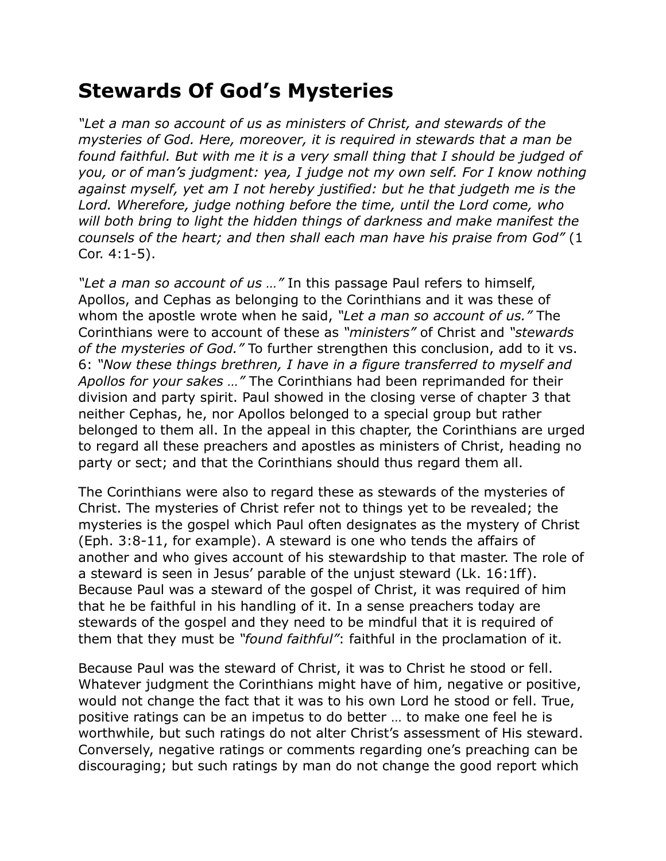## **Stewards Of God's Mysteries**

*"Let a man so account of us as ministers of Christ, and stewards of the mysteries of God. Here, moreover, it is required in stewards that a man be found faithful. But with me it is a very small thing that I should be judged of you, or of man's judgment: yea, I judge not my own self. For I know nothing against myself, yet am I not hereby justified: but he that judgeth me is the*  Lord. Wherefore, judge nothing before the time, until the Lord come, who *will both bring to light the hidden things of darkness and make manifest the counsels of the heart; and then shall each man have his praise from God"* (1 Cor. 4:1-5).

*"Let a man so account of us …"* In this passage Paul refers to himself, Apollos, and Cephas as belonging to the Corinthians and it was these of whom the apostle wrote when he said, *"Let a man so account of us."* The Corinthians were to account of these as *"ministers"* of Christ and *"stewards of the mysteries of God."* To further strengthen this conclusion, add to it vs. 6: *"Now these things brethren, I have in a figure transferred to myself and Apollos for your sakes …"* The Corinthians had been reprimanded for their division and party spirit. Paul showed in the closing verse of chapter 3 that neither Cephas, he, nor Apollos belonged to a special group but rather belonged to them all. In the appeal in this chapter, the Corinthians are urged to regard all these preachers and apostles as ministers of Christ, heading no party or sect; and that the Corinthians should thus regard them all.

The Corinthians were also to regard these as stewards of the mysteries of Christ. The mysteries of Christ refer not to things yet to be revealed; the mysteries is the gospel which Paul often designates as the mystery of Christ (Eph. 3:8-11, for example). A steward is one who tends the affairs of another and who gives account of his stewardship to that master. The role of a steward is seen in Jesus' parable of the unjust steward (Lk. 16:1ff). Because Paul was a steward of the gospel of Christ, it was required of him that he be faithful in his handling of it. In a sense preachers today are stewards of the gospel and they need to be mindful that it is required of them that they must be *"found faithful"*: faithful in the proclamation of it.

Because Paul was the steward of Christ, it was to Christ he stood or fell. Whatever judgment the Corinthians might have of him, negative or positive, would not change the fact that it was to his own Lord he stood or fell. True, positive ratings can be an impetus to do better … to make one feel he is worthwhile, but such ratings do not alter Christ's assessment of His steward. Conversely, negative ratings or comments regarding one's preaching can be discouraging; but such ratings by man do not change the good report which